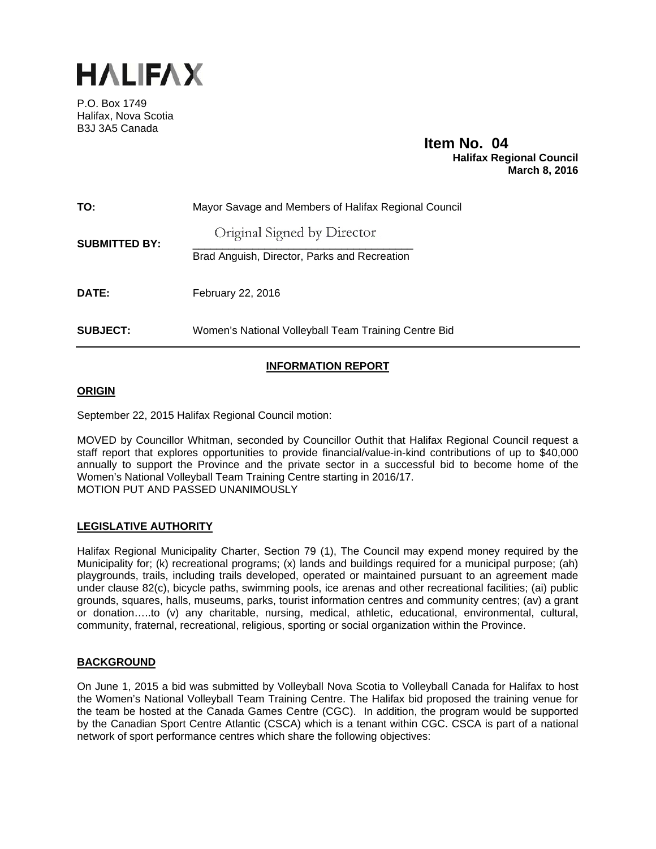

P.O. Box 1749 Halifax, Nova Scotia B3J 3A5 Canada

# **Item No. 04**<br>Halifax Regional Council  **March 8, 2016**

| TO:                  | Mayor Savage and Members of Halifax Regional Council |
|----------------------|------------------------------------------------------|
| <b>SUBMITTED BY:</b> | Original Signed by Director                          |
|                      | Brad Anguish, Director, Parks and Recreation         |
| DATE:                | February 22, 2016                                    |
| <b>SUBJECT:</b>      | Women's National Volleyball Team Training Centre Bid |

## **INFORMATION REPORT**

### **ORIGIN**

September 22, 2015 Halifax Regional Council motion:

MOVED by Councillor Whitman, seconded by Councillor Outhit that Halifax Regional Council request a staff report that explores opportunities to provide financial/value-in-kind contributions of up to \$40,000 annually to support the Province and the private sector in a successful bid to become home of the Women's National Volleyball Team Training Centre starting in 2016/17. MOTION PUT AND PASSED UNANIMOUSLY

## **LEGISLATIVE AUTHORITY**

Halifax Regional Municipality Charter, Section 79 (1), The Council may expend money required by the Municipality for; (k) recreational programs; (x) lands and buildings required for a municipal purpose; (ah) playgrounds, trails, including trails developed, operated or maintained pursuant to an agreement made under clause 82(c), bicycle paths, swimming pools, ice arenas and other recreational facilities; (ai) public grounds, squares, halls, museums, parks, tourist information centres and community centres; (av) a grant or donation…..to (v) any charitable, nursing, medical, athletic, educational, environmental, cultural, community, fraternal, recreational, religious, sporting or social organization within the Province.

#### **BACKGROUND**

On June 1, 2015 a bid was submitted by Volleyball Nova Scotia to Volleyball Canada for Halifax to host the Women's National Volleyball Team Training Centre. The Halifax bid proposed the training venue for the team be hosted at the Canada Games Centre (CGC). In addition, the program would be supported by the Canadian Sport Centre Atlantic (CSCA) which is a tenant within CGC. CSCA is part of a national network of sport performance centres which share the following objectives: